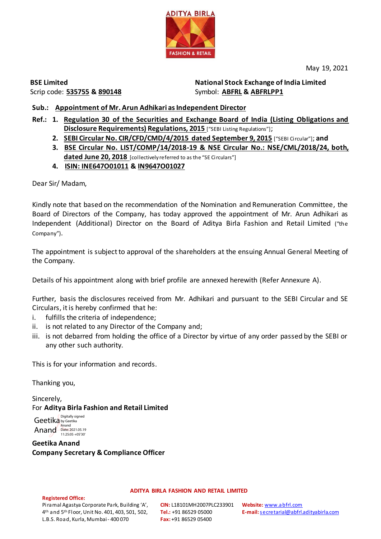

May 19, 2021

**BSE Limited** Scrip code: **535755 & 890148**

**National Stock Exchange of India Limited**  Symbol: **ABFRL & ABFRLPP1**

# **Sub.: Appointment of Mr. Arun Adhikari as Independent Director**

- **Ref.: 1. Regulation 30 of the Securities and Exchange Board of India (Listing Obligations and Disclosure Requirements) Regulations, 2015** ["SEBI Listing Regulations"];
	- **2. SEBI Circular No. CIR/CFD/CMD/4/2015 dated September 9, 2015** ["SEBI Circular"]; **and**
	- **3. BSE Circular No. LIST/COMP/14/2018-19 & NSE Circular No.: NSE/CML/2018/24, both, dated June 20, 2018** [collectively referred to as the "SE Circulars"]
	- **4. ISIN: INE647O01011 & IN9647O01027**

Dear Sir/ Madam,

Kindly note that based on the recommendation of the Nomination and Remuneration Committee, the Board of Directors of the Company, has today approved the appointment of Mr. Arun Adhikari as Independent (Additional) Director on the Board of Aditya Birla Fashion and Retail Limited ("the Company").

The appointment is subject to approval of the shareholders at the ensuing Annual General Meeting of the Company.

Details of his appointment along with brief profile are annexed herewith (Refer Annexure A).

Further, basis the disclosures received from Mr. Adhikari and pursuant to the SEBI Circular and SE Circulars, it is hereby confirmed that he:

- i. fulfills the criteria of independence;
- ii. is not related to any Director of the Company and;
- iii. is not debarred from holding the office of a Director by virtue of any order passed by the SEBI or any other such authority.

This is for your information and records.

Thanking you,

Sincerely, For **Aditya Birla Fashion and Retail Limited**

Geetika by Geetika Anand Date: 2021.05.19 Digitally signed Anand

**Geetika Anand Company Secretary & Compliance Officer**

**ADITYA BIRLA FASHION AND RETAIL LIMITED**